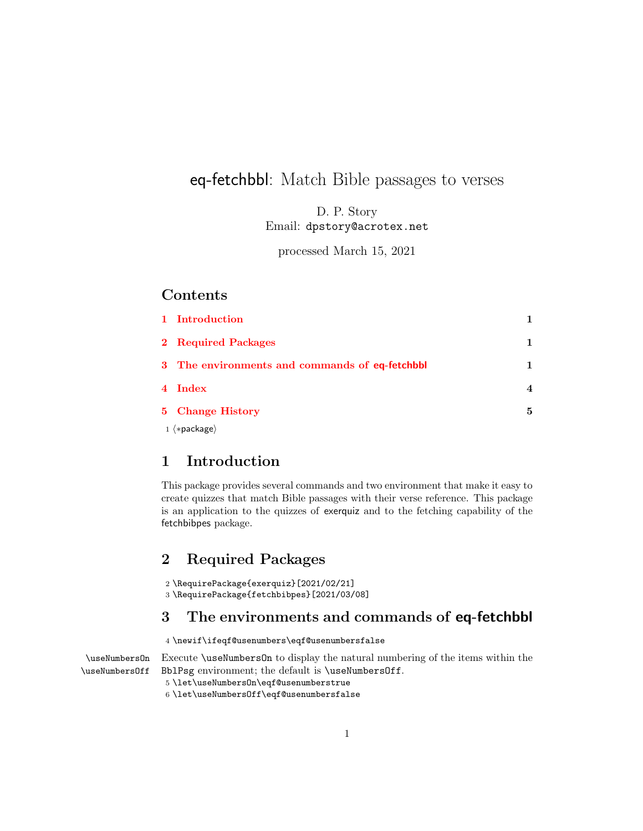## eq-fetchbbl: Match Bible passages to verses

D. P. Story Email: dpstory@acrotex.net

processed March 15, 2021

#### Contents

| 1 Introduction                                 |   |
|------------------------------------------------|---|
| 2 Required Packages                            |   |
| 3 The environments and commands of eq-fetchbbl |   |
| 4 Index                                        |   |
| 5 Change History                               | 5 |
| $1$ $\langle *package \rangle$                 |   |

#### <span id="page-0-0"></span>1 Introduction

This package provides several commands and two environment that make it easy to create quizzes that match Bible passages with their verse reference. This package is an application to the quizzes of exerquiz and to the fetching capability of the fetchbibpes package.

#### <span id="page-0-1"></span>2 Required Packages

2 \RequirePackage{exerquiz}[2021/02/21] 3 \RequirePackage{fetchbibpes}[2021/03/08]

### <span id="page-0-2"></span>3 The environments and commands of eq-fetchbbl

#### $4 \newline \label{thm:1} $$$

\useNumbersOn Execute \useNumbersOn to display the natural numbering of the items within the \useNumbersOff BblPsg environment; the default is \useNumbersOff.

5 \let\useNumbersOn\eqf@usenumberstrue

6 \let\useNumbersOff\eqf@usenumbersfalse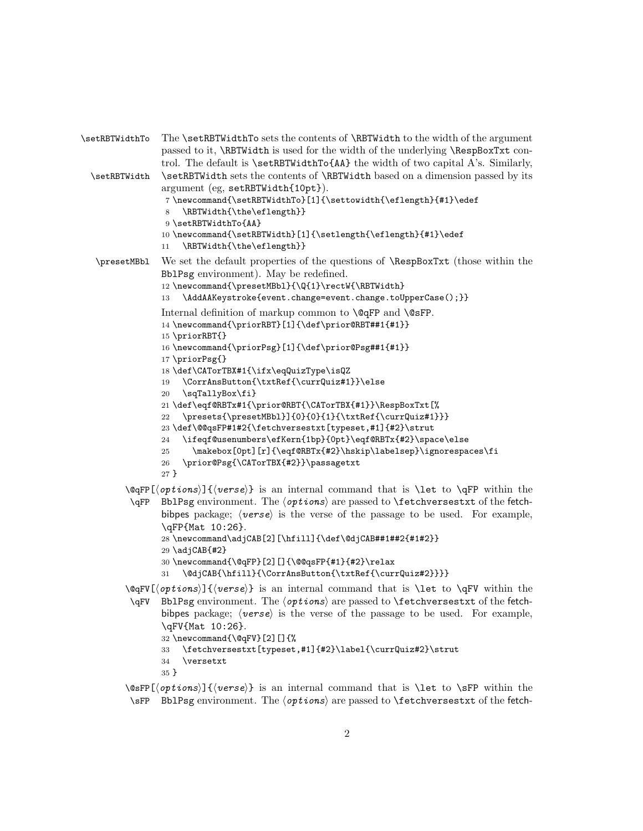```
\setRBTWidthTo The \setRBTWidthTo sets the contents of \RBTWidth to the width of the argument
                passed to it, \RBTWidth is used for the width of the underlying \RespBoxTxt con-
                trol. The default is \setminus \text{BTVidthTo{AA}} the width of two capital A's. Similarly,
 \setRBTWidth \setRBTWidth sets the contents of \RBTWidth based on a dimension passed by its
                argument (eg, setRBTWidth{10pt}).
                 7 \newcommand{\setRBTWidthTo}[1]{\settowidth{\eflength}{#1}\edef
                 8 \RBTWidth{\the\eflength}}
                 9 \setRBTWidthTo{AA}
                10 \newcommand{\setRBTWidth}[1]{\setlength{\eflength}{#1}\edef
                11 \RBTWidth{\the\eflength}}
  \presetMBbl We set the default properties of the questions of \RespBoxTxt (those within the
                BblPsg environment). May be redefined.
                12 \newcommand{\presetMBbl}{\Q{1}\rectW{\RBTWidth}
                13 \AddAAKeystroke{event.change=event.change.toUpperCase();}}
                Internal definition of markup common to \@qFP and \@sFP.
                14 \newcommand{\priorRBT}[1]{\def\prior@RBT##1{#1}}
                15 \priorRBT{}
                16 \newcommand{\priorPsg}[1]{\def\prior@Psg##1{#1}}
                17 \priorPsg{}
                18 \def\CATorTBX#1{\ifx\eqQuizType\isQZ
                19 \CorrAnsButton{\txtRef{\currQuiz#1}}\else
                20 \sqTallyBox\fi}
                21 \def\eqf@RBTx#1{\prior@RBT{\CATorTBX{#1}}\RespBoxTxt[%
                22 \ \preceq{\preceq{0}{0}{0}{1}{\text{Ref}{\text{Quiz#1}}}23 \def\@@qsFP#1#2{\fetchversestxt[typeset,#1]{#2}\strut
                24 \ifeqf@usenumbers\efKern{1bp}{0pt}\eqf@RBTx{#2}\space\else
                25 \makebox[0pt][r]{\eqf@RBTx{#2}\hskip\labelsep}\ignorespaces\fi
                26 \prior@Psg{\CATorTBX{#2}}\passagetxt
                27 }
         \@qFP[hoptionsi]{hversei} is an internal command that is \let to \qFP within the
          \qFP BblPsg environment. The \{options\} are passed to \fetchversestxt of the fetch-
                bibpes package; \langle <i>verse</i> \rangle is the verse of the passage to be used. For example,
                \qFP{Mat 10:26}.
                28 \newcommand\adjCAB[2][\hfill]{\def\@djCAB##1##2{#1#2}}
                29 \text{ad} \text{CAB}{#2}
                30 \newcommand{\@qFP}[2][]{\@@qsFP{#1}{#2}\relax
                31 \@djCAB{\hfill}{\CorrAnsButton{\txtRef{\currQuiz#2}}}}
         \@qFV[hoptionsi]{hversei} is an internal command that is \let to \qFV within the
          \qFV BblPsg environment. The \{options\} are passed to \fetchversestxt of the fetch-
                bibpes package; \langle <i>verse</i> \rangle is the verse of the passage to be used. For example,
                \qFV{Mat 10:26}.
                32 \newcommand{\@qFV}[2][]{%
                33 \fetchversestxt[typeset,#1]{#2}\label{\currQuiz#2}\strut
```

```
34 \versetxt
35 }
```
 $\cos\phi$  (*options*)]{*(verse)*} is an internal command that is **\let** to **\sFP** within the \sFP BblPsg environment. The  $\langle$ options $\rangle$  are passed to **\fetchversestxt** of the fetch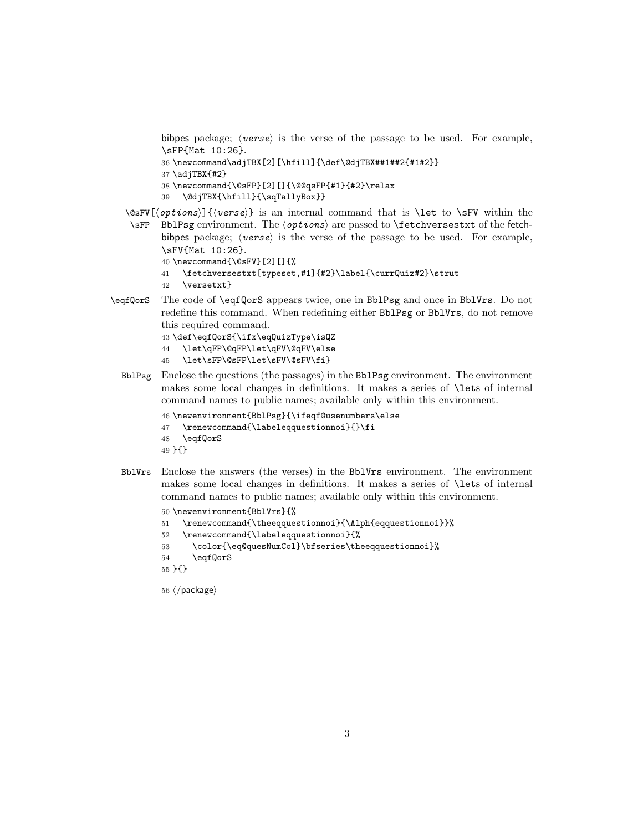bibpes package;  $\langle \text{verse} \rangle$  is the verse of the passage to be used. For example, \sFP{Mat 10:26}.

```
36 \newcommand\adjTBX[2][\hfill]{\def\@djTBX##1##2{#1#2}}
```

```
37 \adjTBX{#2}
```

```
38 \newcommand{\@sFP}[2][]{\@@qsFP{#1}{#2}\relax
```
39 \@djTBX{\hfill}{\sqTallyBox}}

 $\cosFV[\{options\}]\{\{verse\}\$ is an internal command that is **\let** to **\sFV** within the \sFP BblPsg environment. The  $\{options\}$  are passed to \fetchversestxt of the fetchbibpes package;  $\langle \text{verse} \rangle$  is the verse of the passage to be used. For example, \sFV{Mat 10:26}.

```
40 \newcommand{\@sFV}[2][]{%
```
- 41 \fetchversestxt[typeset,#1]{#2}\label{\currQuiz#2}\strut
- 42 \versetxt}
- \eqfQorS The code of \eqfQorS appears twice, one in BblPsg and once in BblVrs. Do not redefine this command. When redefining either BblPsg or BblVrs, do not remove this required command.

```
43 \def\eqfQorS{\ifx\eqQuizType\isQZ
44 \let\qFP\@qFP\let\qFV\@qFV\else
```
- 
- 45 \let\sFP\@sFP\let\sFV\@sFV\fi}
- BblPsg Enclose the questions (the passages) in the BblPsg environment. The environment makes some local changes in definitions. It makes a series of \lets of internal command names to public names; available only within this environment.

```
46 \newenvironment{BblPsg}{\ifeqf@usenumbers\else
```

```
47 \renewcommand{\labeleqquestionnoi}{}\fi
```

```
48 \eqfQorS
```

```
49 }{}
```
BblVrs Enclose the answers (the verses) in the BblVrs environment. The environment makes some local changes in definitions. It makes a series of \lets of internal command names to public names; available only within this environment.

```
50 \newenvironment{BblVrs}{%
51 \renewcommand{\theeqquestionnoi}{\Alph{eqquestionnoi}}%
52 \renewcommand{\labeleqquestionnoi}{%
53 \color{\eq@quesNumCol}\bfseries\theeqquestionnoi}%
54 \eqfQorS
55 }{}
```

```
56 \langle/package\rangle
```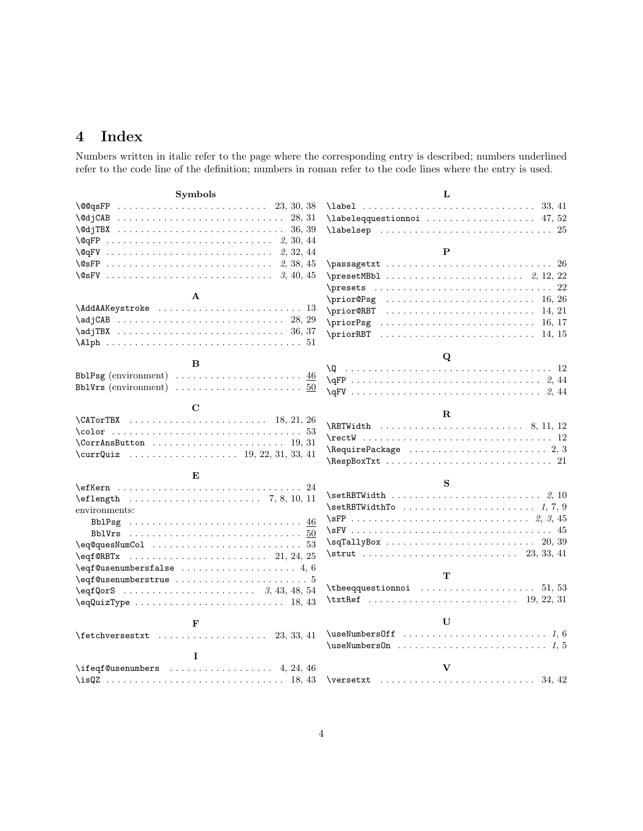# <span id="page-3-0"></span>4 Index

Numbers written in italic refer to the page where the corresponding entry is described; numbers underlined refer to the code line of the definition; numbers in roman refer to the code lines where the entry is used.

| <b>Symbols</b>                                                                                 | L                                                                              |
|------------------------------------------------------------------------------------------------|--------------------------------------------------------------------------------|
| $\qquad \qquad \qquad \qquad 23, 30, 38$                                                       |                                                                                |
|                                                                                                | $\lambda$ labeleqquestionnoi  47,52                                            |
|                                                                                                |                                                                                |
|                                                                                                |                                                                                |
| $\qquad \qquad \qquad \qquad 2, 32, 44$                                                        | $\mathbf{P}$                                                                   |
|                                                                                                | $\texttt{passagetxt xt} \dots \dots \dots \dots \dots \dots \dots \ 26$        |
|                                                                                                |                                                                                |
|                                                                                                | $\texttt{presents} \dots \dots \dots \dots \dots \dots \dots \dots \dots \ 22$ |
| $\mathbf{A}$                                                                                   | $\prime$ $(0.26)$                                                              |
|                                                                                                |                                                                                |
|                                                                                                |                                                                                |
|                                                                                                |                                                                                |
|                                                                                                |                                                                                |
|                                                                                                | Q                                                                              |
| B                                                                                              |                                                                                |
| BblPsg (environment) $\ldots \ldots \ldots \ldots \ldots \ldots \ldots \frac{46}{1}$           | $\qquad \qquad \qquad \qquad \qquad 2, 44$                                     |
| Bb1Vrs (environment) $\ldots \ldots \ldots \ldots \ldots \ldots \ldots 50$                     | $\qquad \qquad \qquad \qquad \qquad 2, 44$                                     |
| C                                                                                              |                                                                                |
| $\C{ATorTBX}$ 18, 21, 26                                                                       | $\bf{R}$                                                                       |
|                                                                                                |                                                                                |
| $\CorrAnsBut$ ton  19.31                                                                       |                                                                                |
|                                                                                                |                                                                                |
|                                                                                                |                                                                                |
| E                                                                                              |                                                                                |
|                                                                                                | S                                                                              |
| $\left\{ \text{length} \ldots \ldots \ldots \ldots \ldots \right\}$ 7, 8, 10, 11               |                                                                                |
| environments:                                                                                  |                                                                                |
| BblPsg $\ldots \ldots \ldots \ldots \ldots \ldots \ldots \ldots \ldots \ldots \ldots \cdot 46$ |                                                                                |
|                                                                                                |                                                                                |
| $\eqref{eq:quesNumCol} \ldots \ldots \ldots \ldots \ldots \ldots 53$                           | $\sqrt{20, 39}$                                                                |
| \eqf@RBTx                                                                                      | $\text{trut} \ldots \ldots \ldots \ldots \ldots \ldots \quad 23, 33, 41$       |
| $\eqref@usenumberstalse \ldots \ldots \ldots \ldots 4, 6$                                      |                                                                                |
| $\eqref{Qusenumberstrue} \ldots \ldots \ldots \ldots \ldots 5$                                 | T                                                                              |
|                                                                                                |                                                                                |
| $\eqref{quizType} \ldots \ldots \ldots \ldots \ldots 18, 43$                                   |                                                                                |
|                                                                                                |                                                                                |
| F                                                                                              | $\mathbf{U}$                                                                   |
| $\text{tetchversestxt}$ 23, 33, 41                                                             |                                                                                |
|                                                                                                |                                                                                |
| T                                                                                              |                                                                                |
| $\left\{ \text{Gusenumbers } \ldots \ldots \ldots \ldots \right\}$ 4, 24, 46                   | $\mathbf{V}$                                                                   |
|                                                                                                |                                                                                |